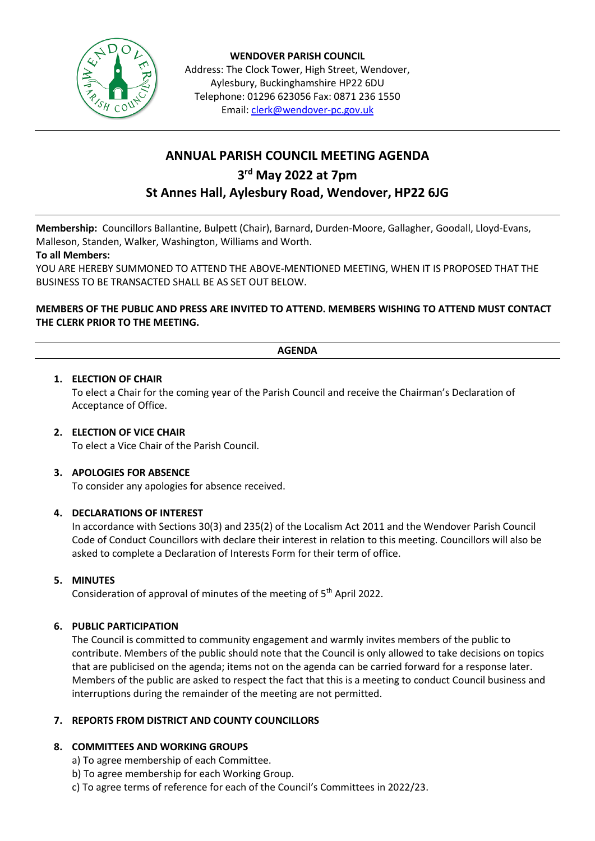

**WENDOVER PARISH COUNCIL** Address: The Clock Tower, High Street, Wendover, Aylesbury, Buckinghamshire HP22 6DU Telephone: 01296 623056 Fax: 0871 236 1550 Email[: clerk@wendover-pc.gov.uk](mailto:clerk@wendover-pc.gov.uk)

# **ANNUAL PARISH COUNCIL MEETING AGENDA 3 rd May 2022 at 7pm St Annes Hall, Aylesbury Road, Wendover, HP22 6JG**

**Membership:** Councillors Ballantine, Bulpett (Chair), Barnard, Durden-Moore, Gallagher, Goodall, Lloyd-Evans, Malleson, Standen, Walker, Washington, Williams and Worth.

## **To all Members:**

YOU ARE HEREBY SUMMONED TO ATTEND THE ABOVE-MENTIONED MEETING, WHEN IT IS PROPOSED THAT THE BUSINESS TO BE TRANSACTED SHALL BE AS SET OUT BELOW.

# **MEMBERS OF THE PUBLIC AND PRESS ARE INVITED TO ATTEND. MEMBERS WISHING TO ATTEND MUST CONTACT THE CLERK PRIOR TO THE MEETING.**

## **AGENDA**

## **1. ELECTION OF CHAIR**

To elect a Chair for the coming year of the Parish Council and receive the Chairman's Declaration of Acceptance of Office.

#### **2. ELECTION OF VICE CHAIR**

To elect a Vice Chair of the Parish Council.

#### **3. APOLOGIES FOR ABSENCE**

To consider any apologies for absence received.

#### **4. DECLARATIONS OF INTEREST**

In accordance with Sections 30(3) and 235(2) of the Localism Act 2011 and the Wendover Parish Council Code of Conduct Councillors with declare their interest in relation to this meeting. Councillors will also be asked to complete a Declaration of Interests Form for their term of office.

#### **5. MINUTES**

Consideration of approval of minutes of the meeting of 5<sup>th</sup> April 2022.

#### **6. PUBLIC PARTICIPATION**

The Council is committed to community engagement and warmly invites members of the public to contribute. Members of the public should note that the Council is only allowed to take decisions on topics that are publicised on the agenda; items not on the agenda can be carried forward for a response later. Members of the public are asked to respect the fact that this is a meeting to conduct Council business and interruptions during the remainder of the meeting are not permitted.

#### **7. REPORTS FROM DISTRICT AND COUNTY COUNCILLORS**

# **8. COMMITTEES AND WORKING GROUPS**

- a) To agree membership of each Committee.
- b) To agree membership for each Working Group.
- c) To agree terms of reference for each of the Council's Committees in 2022/23.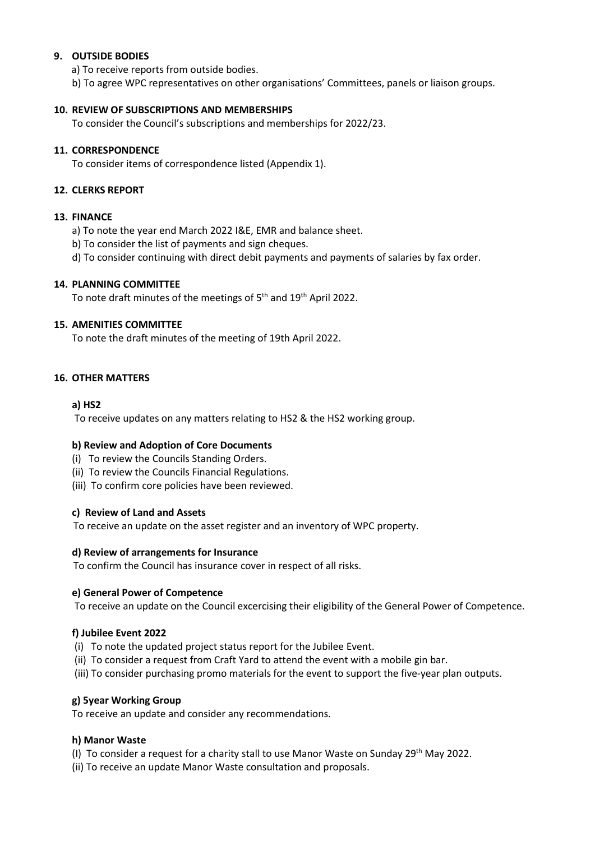## **9. OUTSIDE BODIES**

a) To receive reports from outside bodies.

b) To agree WPC representatives on other organisations' Committees, panels or liaison groups.

#### **10. REVIEW OF SUBSCRIPTIONS AND MEMBERSHIPS**

To consider the Council's subscriptions and memberships for 2022/23.

### **11. CORRESPONDENCE**

To consider items of correspondence listed (Appendix 1).

## **12. CLERKS REPORT**

## **13. FINANCE**

- a) To note the year end March 2022 I&E, EMR and balance sheet.
- b) To consider the list of payments and sign cheques.
- d) To consider continuing with direct debit payments and payments of salaries by fax order.

## **14. PLANNING COMMITTEE**

To note draft minutes of the meetings of 5<sup>th</sup> and 19<sup>th</sup> April 2022.

## **15. AMENITIES COMMITTEE**

To note the draft minutes of the meeting of 19th April 2022.

## **16. OTHER MATTERS**

## **a) HS2**

To receive updates on any matters relating to HS2 & the HS2 working group.

#### **b) Review and Adoption of Core Documents**

- (i) To review the Councils Standing Orders.
- (ii) To review the Councils Financial Regulations.
- (iii) To confirm core policies have been reviewed.

#### **c) Review of Land and Assets**

To receive an update on the asset register and an inventory of WPC property.

#### **d) Review of arrangements for Insurance**

To confirm the Council has insurance cover in respect of all risks.

#### **e) General Power of Competence**

To receive an update on the Council excercising their eligibility of the General Power of Competence.

#### **f) Jubilee Event 2022**

- (i) To note the updated project status report for the Jubilee Event.
- (ii) To consider a request from Craft Yard to attend the event with a mobile gin bar.
- (iii) To consider purchasing promo materials for the event to support the five-year plan outputs.

#### **g) 5year Working Group**

To receive an update and consider any recommendations.

#### **h) Manor Waste**

- (I) To consider a request for a charity stall to use Manor Waste on Sunday 29th May 2022.
- (ii) To receive an update Manor Waste consultation and proposals.